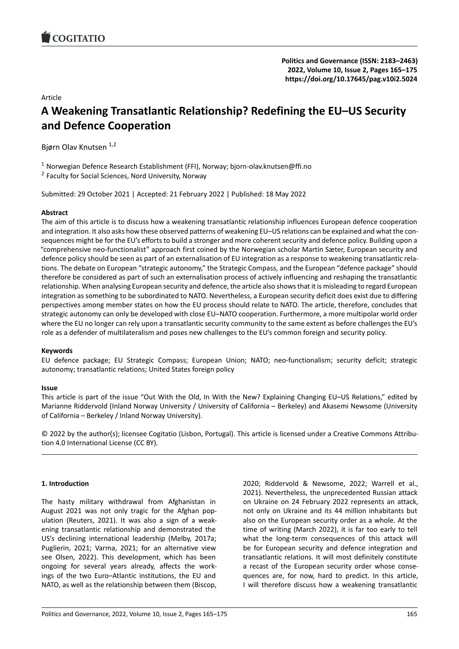## Article

# **A Weakening Transatlantic Relationship? Redefi[ning the EU–US Security](https://doi.org/10.17645/pag.v10i2.5024) and Defence Cooperation**

Bjørn Olav Knutsen 1,2

1 Norwegian Defence Research Establishment (FFI), Norway; bjorn-olav.knutsen@ffi.no

<sup>2</sup> Faculty for Social Sciences, Nord University, Norway

Submitted: 29 October 2021 | Accepted: 21 February 2022 | Published: 18 May 2022

### **Abstract**

The aim of this article is to discuss how a weakening transatlantic relationship influences European defence cooperation and integration. It also asks how these observed patterns of weakening EU–US relations can be explained and what the consequences might be for the EU's efforts to build a stronger and more coherent security and defence policy. Building upon a "comprehensive neo‐functionalist" approach first coined by the Norwegian scholar Martin Sæter, European security and defence policy should be seen as part of an externalisation of EU integration as a response to weakening transatlantic rela‐ tions. The debate on European "strategic autonomy," the Strategic Compass, and the European "defence package" should therefore be considered as part of such an externalisation process of actively influencing and reshaping the transatlantic relationship. When analysing European security and defence, the article also shows that it is misleading to regard European integration as something to be subordinated to NATO. Nevertheless, a European security deficit does exist due to differing perspectives among member states on how the EU process should relate to NATO. The article, therefore, concludes that strategic autonomy can only be developed with close EU–NATO cooperation. Furthermore, a more multipolar world order where the EU no longer can rely upon a transatlantic security community to the same extent as before challenges the EU's role as a defender of multilateralism and poses new challenges to the EU's common foreign and security policy.

### **Keywords**

EU defence package; EU Strategic Compass; European Union; NATO; neo‐functionalism; security deficit; strategic autonomy; transatlantic relations; United States foreign policy

### **Issue**

This article is part of the issue "Out With the Old, In With the New? Explaining Changing EU–US Relations," edited by Marianne Riddervold (Inland Norway University / University of California – Berkeley) and Akasemi Newsome (University of California – Berkeley / Inland Norway University).

© 2022 by the author(s); licensee Cogitatio (Lisbon, Portugal). This article is licensed under a Creative Commons Attribu‐ tion 4.0 International License (CC BY).

### **1. Introduction**

The hasty military withdrawal from Afghanistan in August 2021 was not only tragic for the Afghan pop‐ ulation (Reuters, 2021). It was also a sign of a weak‐ ening transatlantic relationship and demonstrated the US's declining international leadership (Melby, 2017a; Puglierin, 2021; Varma, 2021; for an alternative view see Olsen, 2022). This development, which has been ongoing for several years already, affects the work‐ ings of the two Euro–Atlantic institutions, the EU and NATO, as well as the relationship between them (Biscop,

2020; Riddervold & Newsome, 2022; Warrell et al., 2021). Nevertheless, the unprecedented Russian attack on Ukraine on 24 February 2022 represents an attack, not only on Ukraine and its 44 million inhabitants but also on the European security order as a whole. At the time of writing (March 2022), it is far too early to tell what the long-term consequences of this attack will be for European security and defence integration and transatlantic relations. It will most definitely constitute a recast of the European security order whose conse‐ quences are, for now, hard to predict. In this article, I will therefore discuss how a weakening transatlantic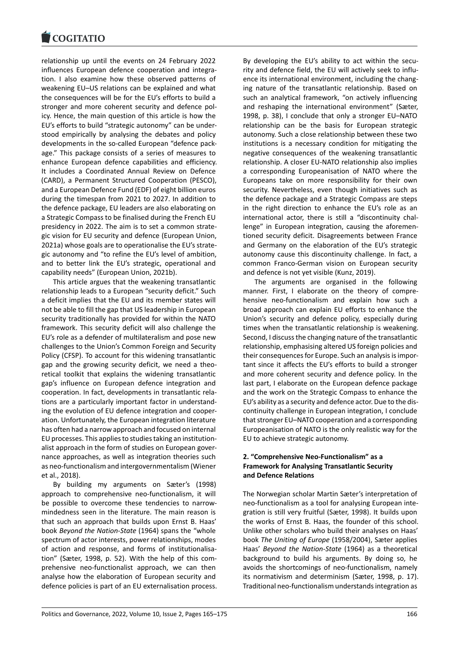relationship up until the events on 24 February 2022 [influences European](https://www.cogitatiopress.com) defence cooperation and integra‐ tion. I also examine how these observed patterns of weakening EU–US relations can be explained and what the consequences will be for the EU's efforts to build a stronger and more coherent security and defence pol‐ icy. Hence, the main question of this article is how the EU's efforts to build "strategic autonomy" can be under‐ stood empirically by analysing the debates and policy developments in the so-called European "defence package." This package consists of a series of measures to enhance European defence capabilities and efficiency. It includes a Coordinated Annual Review on Defence (CARD), a Permanent Structured Cooperation (PESCO), and a European Defence Fund (EDF) of eight billion euros during the timespan from 2021 to 2027. In addition to the defence package, EU leaders are also elaborating on a Strategic Compass to be finalised during the French EU presidency in 2022. The aim is to set a common strate‐ gic vision for EU security and defence (European Union, 2021a) whose goals are to operationalise the EU's strate‐ gic autonomy and "to refine the EU's level of ambition, and to better link the EU's strategic, operational and capability needs" (European Union, 2021b).

This article argues that the weakening transatlantic relationship leads to a European "security deficit." Such a deficit implies that the EU and its member states will not be able to fill the gap that US leadership in European security traditionally has provided for within the NATO framework. This security deficit will also challenge the EU's role as a defender of multilateralism and pose new challenges to the Union's Common Foreign and Security Policy (CFSP). To account for this widening transatlantic gap and the growing security deficit, we need a theoretical toolkit that explains the widening transatlantic gap's influence on European defence integration and cooperation. In fact, developments in transatlantic rela‐ tions are a particularly important factor in understand‐ ing the evolution of EU defence integration and cooper‐ ation. Unfortunately, the European integration literature has often had a narrow approach and focused on internal EU processes. This applies to studies taking an institution‐ alist approach in the form of studies on European gover‐ nance approaches, as well as integration theories such as neo-functionalism and intergovernmentalism (Wiener et al., 2018).

By building my arguments on Sæter's (1998) approach to comprehensive neo‐functionalism, it will be possible to overcome these tendencies to narrow‐ mindedness seen in the literature. The main reason is that such an approach that builds upon Ernst B. Haas' book *Beyond the Nation‐State* (1964) spans the "whole spectrum of actor interests, power relationships, modes of action and response, and forms of institutionalisa‐ tion" (Sæter, 1998, p. 52). With the help of this com‐ prehensive neo-functionalist approach, we can then analyse how the elaboration of European security and defence policies is part of an EU externalisation process.

By developing the EU's ability to act within the security and defence field, the EU will actively seek to influ‐ ence its international environment, including the chang‐ ing nature of the transatlantic relationship. Based on such an analytical framework, "on actively influencing and reshaping the international environment" (Sæter, 1998, p. 38), I conclude that only a stronger EU–NATO relationship can be the basis for European strategic autonomy. Such a close relationship between these two institutions is a necessary condition for mitigating the negative consequences of the weakening transatlantic relationship. A closer EU‐NATO relationship also implies a corresponding Europeanisation of NATO where the Europeans take on more responsibility for their own security. Nevertheless, even though initiatives such as the defence package and a Strategic Compass are steps in the right direction to enhance the EU's role as an international actor, there is still a "discontinuity chal‐ lenge" in European integration, causing the aforemen‐ tioned security deficit. Disagreements between France and Germany on the elaboration of the EU's strategic autonomy cause this discontinuity challenge. In fact, a common Franco‐German vision on European security and defence is not yet visible (Kunz, 2019).

The arguments are organised in the following manner. First, I elaborate on the theory of comprehensive neo-functionalism and explain how such a broad approach can explain EU efforts to enhance the Union's security and defence policy, especially during times when the transatlantic relationship is weakening. Second, I discuss the changing nature of the transatlantic relationship, emphasising altered US foreign policies and their consequences for Europe. Such an analysis is impor‐ tant since it affects the EU's efforts to build a stronger and more coherent security and defence policy. In the last part, I elaborate on the European defence package and the work on the Strategic Compass to enhance the EU's ability as a security and defence actor. Due to the dis‐ continuity challenge in European integration, I conclude that stronger EU–NATO cooperation and a corresponding Europeanisation of NATO is the only realistic way for the EU to achieve strategic autonomy.

### **2. "Comprehensive Neo‐Functionalism" as a Framework for Analysing Transatlantic Security and Defence Relations**

The Norwegian scholar Martin Sæter's interpretation of neo‐functionalism as a tool for analysing European inte‐ gration is still very fruitful (Sæter, 1998). It builds upon the works of Ernst B. Haas, the founder of this school. Unlike other scholars who build their analyses on Haas' book *The Uniting of Europe* (1958/2004), Sæter applies Haas' *Beyond the Nation‐State* (1964) as a theoretical background to build his arguments. By doing so, he avoids the shortcomings of neo-functionalism, namely its normativism and determinism (Sæter, 1998, p. 17). Traditional neo‐functionalism understands integration as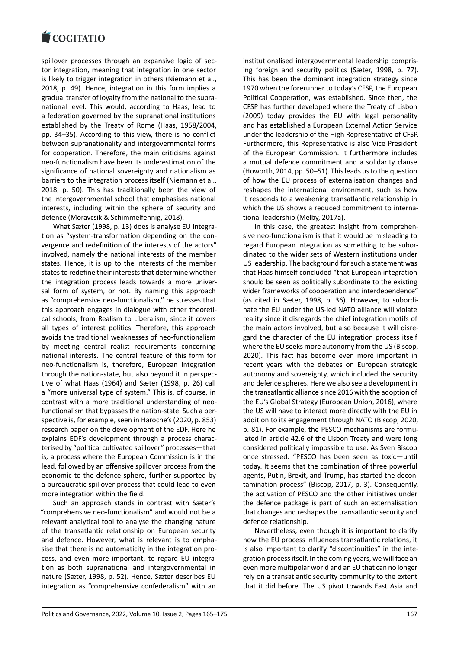spillover processes through an expansive logic of sec[tor integration, mea](https://www.cogitatiopress.com)ning that integration in one sector is likely to trigger integration in others (Niemann et al., 2018, p. 49). Hence, integration in this form implies a gradual transfer of loyalty from the national to the supra‐ national level. This would, according to Haas, lead to a federation governed by the supranational institutions established by the Treaty of Rome (Haas, 1958/2004, pp. 34–35). According to this view, there is no conflict between supranationality and intergovernmental forms for cooperation. Therefore, the main criticisms against neo‐functionalism have been its underestimation of the significance of national sovereignty and nationalism as barriers to the integration process itself (Niemann et al., 2018, p. 50). This has traditionally been the view of the intergovernmental school that emphasises national interests, including within the sphere of security and defence (Moravcsik & Schimmelfennig, 2018).

What Sæter (1998, p. 13) does is analyse EU integra‐ tion as "system‐transformation depending on the con‐ vergence and redefinition of the interests of the actors" involved, namely the national interests of the member states. Hence, it is up to the interests of the member states to redefine their interests that determine whether the integration process leads towards a more univer‐ sal form of system, or not. By naming this approach as "comprehensive neo-functionalism," he stresses that this approach engages in dialogue with other theoreti‐ cal schools, from Realism to Liberalism, since it covers all types of interest politics. Therefore, this approach avoids the traditional weaknesses of neo‐functionalism by meeting central realist requirements concerning national interests. The central feature of this form for neo-functionalism is, therefore, European integration through the nation‐state, but also beyond it in perspec‐ tive of what Haas (1964) and Sæter (1998, p. 26) call a "more universal type of system." This is, of course, in contrast with a more traditional understanding of neo‐ functionalism that bypasses the nation‐state. Such a per‐ spective is, for example, seen in Haroche's (2020, p. 853) research paper on the development of the EDF. Here he explains EDF's development through a process characterised by "political cultivated spillover" processes—that is, a process where the European Commission is in the lead, followed by an offensive spillover process from the economic to the defence sphere, further supported by a bureaucratic spillover process that could lead to even more integration within the field.

Such an approach stands in contrast with Sæter's "comprehensive neo‐functionalism" and would not be a relevant analytical tool to analyse the changing nature of the transatlantic relationship on European security and defence. However, what is relevant is to empha‐ sise that there is no automaticity in the integration pro‐ cess, and even more important, to regard EU integra‐ tion as both supranational and intergovernmental in nature (Sæter, 1998, p. 52). Hence, Sæter describes EU integration as "comprehensive confederalism" with an

institutionalised intergovernmental leadership compris‐ ing foreign and security politics (Sæter, 1998, p. 77). This has been the dominant integration strategy since 1970 when the forerunner to today's CFSP, the European Political Cooperation, was established. Since then, the CFSP has further developed where the Treaty of Lisbon (2009) today provides the EU with legal personality and has established a European External Action Service under the leadership of the High Representative of CFSP. Furthermore, this Representative is also Vice President of the European Commission. It furthermore includes a mutual defence commitment and a solidarity clause (Howorth, 2014, pp. 50–51). This leads us to the question of how the EU process of externalisation changes and reshapes the international environment, such as how it responds to a weakening transatlantic relationship in which the US shows a reduced commitment to international leadership (Melby, 2017a).

In this case, the greatest insight from comprehen‐ sive neo-functionalism is that it would be misleading to regard European integration as something to be subor‐ dinated to the wider sets of Western institutions under US leadership. The background for such a statement was that Haas himself concluded "that European integration should be seen as politically subordinate to the existing wider frameworks of cooperation and interdependence" (as cited in Sæter, 1998, p. 36). However, to subordi‐ nate the EU under the US‐led NATO alliance will violate reality since it disregards the chief integration motifs of the main actors involved, but also because it will disre‐ gard the character of the EU integration process itself where the EU seeks more autonomy from the US (Biscop, 2020). This fact has become even more important in recent years with the debates on European strategic autonomy and sovereignty, which included the security and defence spheres. Here we also see a development in the transatlantic alliance since 2016 with the adoption of the EU's Global Strategy (European Union, 2016), where the US will have to interact more directly with the EU in addition to its engagement through NATO (Biscop, 2020, p. 81). For example, the PESCO mechanisms are formulated in article 42.6 of the Lisbon Treaty and were long considered politically impossible to use. As Sven Biscop once stressed: "PESCO has been seen as toxic—until today. It seems that the combination of three powerful agents, Putin, Brexit, and Trump, has started the decon‐ tamination process" (Biscop, 2017, p. 3). Consequently, the activation of PESCO and the other initiatives under the defence package is part of such an externalisation that changes and reshapes the transatlantic security and defence relationship.

Nevertheless, even though it is important to clarify how the EU process influences transatlantic relations, it is also important to clarify "discontinuities" in the integration process itself. In the coming years, we will face an even more multipolar world and an EU that can no longer rely on a transatlantic security community to the extent that it did before. The US pivot towards East Asia and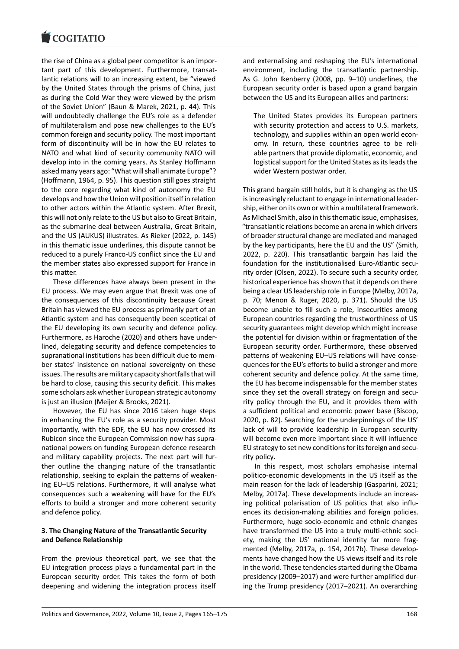the rise of China as a global peer competitor is an impor‐ [tant part of this de](https://www.cogitatiopress.com)velopment. Furthermore, transatlantic relations will to an increasing extent, be "viewed by the United States through the prisms of China, just as during the Cold War they were viewed by the prism of the Soviet Union" (Baun & Marek, 2021, p. 44). This will undoubtedly challenge the EU's role as a defender of multilateralism and pose new challenges to the EU's common foreign and security policy. The most important form of discontinuity will be in how the EU relates to NATO and what kind of security community NATO will develop into in the coming years. As Stanley Hoffmann asked many years ago: "What will shall animate Europe"? (Hoffmann, 1964, p. 95). This question still goes straight to the core regarding what kind of autonomy the EU develops and how the Union will position itself in relation to other actors within the Atlantic system. After Brexit, this will not only relate to the US but also to Great Britain, as the submarine deal between Australia, Great Britain, and the US (AUKUS) illustrates. As Rieker (2022, p. 145) in this thematic issue underlines, this dispute cannot be reduced to a purely Franco‐US conflict since the EU and the member states also expressed support for France in this matter.

These differences have always been present in the EU process. We may even argue that Brexit was one of the consequences of this discontinuity because Great Britain has viewed the EU process as primarily part of an Atlantic system and has consequently been sceptical of the EU developing its own security and defence policy. Furthermore, as Haroche (2020) and others have under‐ lined, delegating security and defence competencies to supranational institutions has been difficult due to mem‐ ber states' insistence on national sovereignty on these issues. The results are military capacity shortfalls that will be hard to close, causing this security deficit. This makes some scholars ask whether European strategic autonomy is just an illusion (Meijer & Brooks, 2021).

However, the EU has since 2016 taken huge steps in enhancing the EU's role as a security provider. Most importantly, with the EDF, the EU has now crossed its Rubicon since the European Commission now has supra‐ national powers on funding European defence research and military capability projects. The next part will fur‐ ther outline the changing nature of the transatlantic relationship, seeking to explain the patterns of weaken‐ ing EU–US relations. Furthermore, it will analyse what consequences such a weakening will have for the EU's efforts to build a stronger and more coherent security and defence policy.

### **3. The Changing Nature of the Transatlantic Security and Defence Relationship**

From the previous theoretical part, we see that the EU integration process plays a fundamental part in the European security order. This takes the form of both deepening and widening the integration process itself and externalising and reshaping the EU's international environment, including the transatlantic partnership. As G. John Ikenberry (2008, pp. 9–10) underlines, the European security order is based upon a grand bargain between the US and its European allies and partners:

The United States provides its European partners with security protection and access to U.S. markets, technology, and supplies within an open world econ‐ omy. In return, these countries agree to be reli‐ able partners that provide diplomatic, economic, and logistical support for the United States as its leads the wider Western postwar order.

This grand bargain still holds, but it is changing as the US is increasingly reluctant to engage in international leader‐ ship, either on its own or within a multilateral framework. As Michael Smith, also in this thematic issue, emphasises, "transatlantic relations become an arena in which drivers of broader structural change are mediated and managed by the key participants, here the EU and the US" (Smith, 2022, p. 220). This transatlantic bargain has laid the foundation for the institutionalised Euro‐Atlantic secu‐ rity order (Olsen, 2022). To secure such a security order, historical experience has shown that it depends on there being a clear US leadership role in Europe (Melby, 2017a, p. 70; Menon & Ruger, 2020, p. 371). Should the US become unable to fill such a role, insecurities among European countries regarding the trustworthiness of US security guarantees might develop which might increase the potential for division within or fragmentation of the European security order. Furthermore, these observed patterns of weakening EU–US relations will have conse‐ quences for the EU's efforts to build a stronger and more coherent security and defence policy. At the same time, the EU has become indispensable for the member states since they set the overall strategy on foreign and security policy through the EU, and it provides them with a sufficient political and economic power base (Biscop, 2020, p. 82). Searching for the underpinnings of the US' lack of will to provide leadership in European security will become even more important since it will influence EU strategy to set new conditions for its foreign and secu‐ rity policy.

In this respect, most scholars emphasise internal politico‐economic developments in the US itself as the main reason for the lack of leadership (Gasparini, 2021; Melby, 2017a). These developments include an increas‐ ing political polarisation of US politics that also influ‐ ences its decision‐making abilities and foreign policies. Furthermore, huge socio‐economic and ethnic changes have transformed the US into a truly multi-ethnic society, making the US' national identity far more frag‐ mented (Melby, 2017a, p. 154, 2017b). These develop‐ ments have changed how the US views itself and its role in the world. These tendencies started during the Obama presidency (2009–2017) and were further amplified dur‐ ing the Trump presidency (2017–2021). An overarching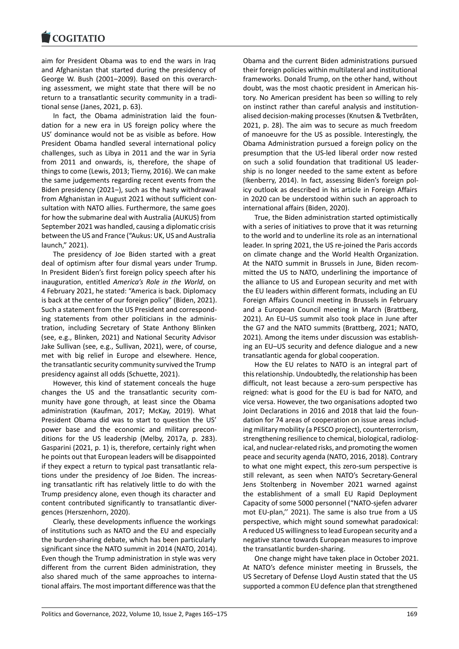#### COQUIATIO

aim for President Obama was to end the wars in Iraq [and Afghanistan tha](https://www.cogitatiopress.com)t started during the presidency of George W. Bush (2001–2009). Based on this overarch‐ ing assessment, we might state that there will be no return to a transatlantic security community in a tradi‐ tional sense (Janes, 2021, p. 63).

In fact, the Obama administration laid the foun‐ dation for a new era in US foreign policy where the US' dominance would not be as visible as before. How President Obama handled several international policy challenges, such as Libya in 2011 and the war in Syria from 2011 and onwards, is, therefore, the shape of things to come (Lewis, 2013; Tierny, 2016). We can make the same judgements regarding recent events from the Biden presidency (2021–), such as the hasty withdrawal from Afghanistan in August 2021 without sufficient con‐ sultation with NATO allies. Furthermore, the same goes for how the submarine deal with Australia (AUKUS) from September 2021 was handled, causing a diplomatic crisis between the US and France ("Aukus: UK, US and Australia launch," 2021).

The presidency of Joe Biden started with a great deal of optimism after four dismal years under Trump. In President Biden's first foreign policy speech after his inauguration, entitled *America's Role in the World*, on 4 February 2021, he stated: "America is back. Diplomacy is back at the center of our foreign policy" (Biden, 2021). Such a statement from the US President and correspond‐ ing statements from other politicians in the adminis‐ tration, including Secretary of State Anthony Blinken (see, e.g., Blinken, 2021) and National Security Advisor Jake Sullivan (see, e.g., Sullivan, 2021), were, of course, met with big relief in Europe and elsewhere. Hence, the transatlantic security community survived the Trump presidency against all odds (Schuette, 2021).

However, this kind of statement conceals the huge changes the US and the transatlantic security com‐ munity have gone through, at least since the Obama administration (Kaufman, 2017; McKay, 2019). What President Obama did was to start to question the US' power base and the economic and military preconditions for the US leadership (Melby, 2017a, p. 283). Gasparini (2021, p. 1) is, therefore, certainly right when he points out that European leaders will be disappointed if they expect a return to typical past transatlantic rela‐ tions under the presidency of Joe Biden. The increas‐ ing transatlantic rift has relatively little to do with the Trump presidency alone, even though its character and content contributed significantly to transatlantic diver‐ gences (Herszenhorn, 2020).

Clearly, these developments influence the workings of institutions such as NATO and the EU and especially the burden‐sharing debate, which has been particularly significant since the NATO summit in 2014 (NATO, 2014). Even though the Trump administration in style was very different from the current Biden administration, they also shared much of the same approaches to interna‐ tional affairs. The most important difference was that the

Obama and the current Biden administrations pursued their foreign policies within multilateral and institutional frameworks. Donald Trump, on the other hand, without doubt, was the most chaotic president in American his‐ tory. No American president has been so willing to rely on instinct rather than careful analysis and institution‐ alised decision‐making processes (Knutsen & Tvetbråten, 2021, p. 28). The aim was to secure as much freedom of manoeuvre for the US as possible. Interestingly, the Obama Administration pursued a foreign policy on the presumption that the US‐led liberal order now rested on such a solid foundation that traditional US leader‐ ship is no longer needed to the same extent as before (Ikenberry, 2014). In fact, assessing Biden's foreign pol‐ icy outlook as described in his article in Foreign Affairs in 2020 can be understood within such an approach to international affairs (Biden, 2020).

True, the Biden administration started optimistically with a series of initiatives to prove that it was returning to the world and to underline its role as an international leader. In spring 2021, the US re‐joined the Paris accords on climate change and the World Health Organization. At the NATO summit in Brussels in June, Biden recom‐ mitted the US to NATO, underlining the importance of the alliance to US and European security and met with the EU leaders within different formats, including an EU Foreign Affairs Council meeting in Brussels in February and a European Council meeting in March (Brattberg, 2021). An EU–US summit also took place in June after the G7 and the NATO summits (Brattberg, 2021; NATO, 2021). Among the items under discussion was establish‐ ing an EU–US security and defence dialogue and a new transatlantic agenda for global cooperation.

How the EU relates to NATO is an integral part of this relationship. Undoubtedly, the relationship has been difficult, not least because a zero‐sum perspective has reigned: what is good for the EU is bad for NATO, and vice versa. However, the two organisations adopted two Joint Declarations in 2016 and 2018 that laid the foun‐ dation for 74 areas of cooperation on issue areas includ‐ ing military mobility (a PESCO project), counterterrorism, strengthening resilience to chemical, biological, radiolog‐ ical, and nuclear‐related risks, and promoting the women peace and security agenda (NATO, 2016, 2018). Contrary to what one might expect, this zero‐sum perspective is still relevant, as seen when NATO's Secretary‐General Jens Stoltenberg in November 2021 warned against the establishment of a small EU Rapid Deployment Capacity of some 5000 personnel ("NATO‐sjefen advarer mot EU‐plan,'' 2021). The same is also true from a US perspective, which might sound somewhat paradoxical: A reduced US willingness to lead European security and a negative stance towards European measures to improve the transatlantic burden‐sharing.

One change might have taken place in October 2021. At NATO's defence minister meeting in Brussels, the US Secretary of Defense Lloyd Austin stated that the US supported a common EU defence plan that strengthened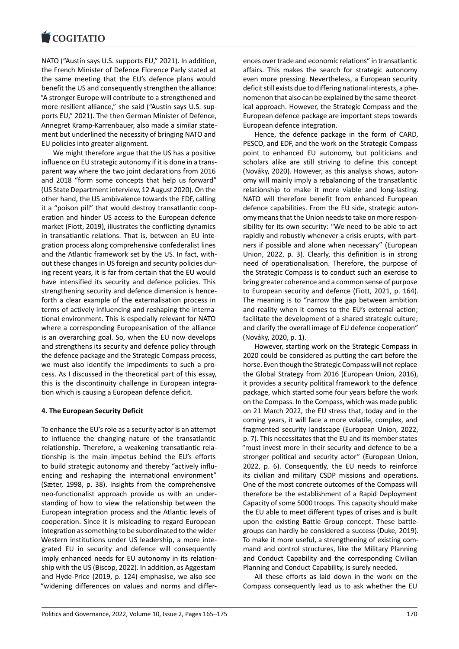NATO ("Austin says U.S. supports EU," 2021). In addition, [the French Minister](https://www.cogitatiopress.com) of Defence Florence Parly stated at the same meeting that the EU's defence plans would benefit the US and consequently strengthen the alliance: "A stronger Europe will contribute to a strengthened and more resilient alliance," she said ("Austin says U.S. sup‐ ports EU," 2021). The then German Minister of Defence, Annegret Kramp‐Karrenbauer, also made a similar state‐ ment but underlined the necessity of bringing NATO and EU policies into greater alignment.

We might therefore argue that the US has a positive influence on EU strategic autonomy if it is done in a trans‐ parent way where the two joint declarations from 2016 and 2018 "form some concepts that help us forward" (US State Department interview, 12 August 2020). On the other hand, the US ambivalence towards the EDF, calling it a "poison pill" that would destroy transatlantic coop‐ eration and hinder US access to the European defence market (Fiott, 2019), illustrates the conflicting dynamics in transatlantic relations. That is, between an EU inte‐ gration process along comprehensive confederalist lines and the Atlantic framework set by the US. In fact, with‐ out these changes in US foreign and security policies dur‐ ing recent years, it is far from certain that the EU would have intensified its security and defence policies. This strengthening security and defence dimension is hence‐ forth a clear example of the externalisation process in terms of actively influencing and reshaping the interna‐ tional environment. This is especially relevant for NATO where a corresponding Europeanisation of the alliance is an overarching goal. So, when the EU now develops and strengthens its security and defence policy through the defence package and the Strategic Compass process, we must also identify the impediments to such a pro‐ cess. As I discussed in the theoretical part of this essay, this is the discontinuity challenge in European integra‐ tion which is causing a European defence deficit.

### **4. The European Security Deficit**

To enhance the EU's role as a security actor is an attempt to influence the changing nature of the transatlantic relationship. Therefore, a weakening transatlantic rela‐ tionship is the main impetus behind the EU's efforts to build strategic autonomy and thereby "actively influ‐ encing and reshaping the international environment" (Sæter, 1998, p. 38). Insights from the comprehensive neo‐functionalist approach provide us with an under‐ standing of how to view the relationship between the European integration process and the Atlantic levels of cooperation. Since it is misleading to regard European integration as something to be subordinated to the wider Western institutions under US leadership, a more inte‐ grated EU in security and defence will consequently imply enhanced needs for EU autonomy in its relation‐ ship with the US (Biscop, 2022). In addition, as Aggestam and Hyde‐Price (2019, p. 124) emphasise, we also see "widening differences on values and norms and differ‐ ences over trade and economic relations" in transatlantic affairs. This makes the search for strategic autonomy even more pressing. Nevertheless, a European security deficit still exists due to differing national interests, a phe‐ nomenon that also can be explained by the same theoret‐ ical approach. However, the Strategic Compass and the European defence package are important steps towards European defence integration.

Hence, the defence package in the form of CARD, PESCO, and EDF, and the work on the Strategic Compass point to enhanced EU autonomy, but politicians and scholars alike are still striving to define this concept (Nováky, 2020). However, as this analysis shows, auton‐ omy will mainly imply a rebalancing of the transatlantic relationship to make it more viable and long‐lasting. NATO will therefore benefit from enhanced European defence capabilities. From the EU side, strategic auton‐ omy means that the Union needs to take on more respon‐ sibility for its own security: "We need to be able to act rapidly and robustly whenever a crisis erupts, with part‐ ners if possible and alone when necessary" (European Union, 2022, p. 3). Clearly, this definition is in strong need of operationalisation. Therefore, the purpose of the Strategic Compass is to conduct such an exercise to bring greater coherence and a common sense of purpose to European security and defence (Fiott, 2021, p. 164). The meaning is to "narrow the gap between ambition and reality when it comes to the EU's external action; facilitate the development of a shared strategic culture; and clarify the overall image of EU defence cooperation" (Nováky, 2020, p. 1).

However, starting work on the Strategic Compass in 2020 could be considered as putting the cart before the horse. Even though the Strategic Compass will not replace the Global Strategy from 2016 (European Union, 2016), it provides a security political framework to the defence package, which started some four years before the work on the Compass. In the Compass, which was made public on 21 March 2022, the EU stress that, today and in the coming years, it will face a more volatile, complex, and fragmented security landscape (European Union, 2022, p. 7). This necessitates that the EU and its member states "must invest more in their security and defence to be a stronger political and security actor" (European Union, 2022, p. 6). Consequently, the EU needs to reinforce its civilian and military CSDP missions and operations. One of the most concrete outcomes of the Compass will therefore be the establishment of a Rapid Deployment Capacity of some 5000 troops. This capacity should make the EU able to meet different types of crises and is built upon the existing Battle Group concept. These battle‐ groups can hardly be considered a success (Duke, 2019). To make it more useful, a strengthening of existing com‐ mand and control structures, like the Military Planning and Conduct Capability and the corresponding Civilian Planning and Conduct Capability, is surely needed.

All these efforts as laid down in the work on the Compass consequently lead us to ask whether the EU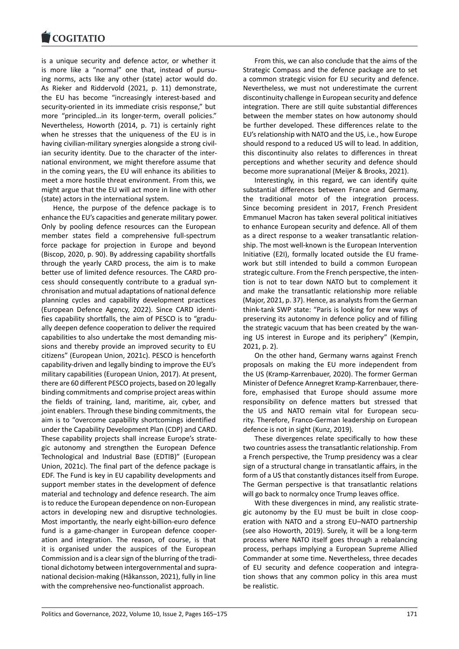is a unique security and defence actor, or whether it [is more like a "nor](https://www.cogitatiopress.com)mal" one that, instead of pursuing norms, acts like any other (state) actor would do. As Rieker and Riddervold (2021, p. 11) demonstrate, the EU has become "increasingly interest-based and security-oriented in its immediate crisis response," but more "principled...in its longer-term, overall policies." Nevertheless, Howorth (2014, p. 71) is certainly right when he stresses that the uniqueness of the EU is in having civilian‐military synergies alongside a strong civil‐ ian security identity. Due to the character of the inter‐ national environment, we might therefore assume that in the coming years, the EU will enhance its abilities to meet a more hostile threat environment. From this, we might argue that the EU will act more in line with other (state) actors in the international system.

Hence, the purpose of the defence package is to enhance the EU's capacities and generate military power. Only by pooling defence resources can the European member states field a comprehensive full‐spectrum force package for projection in Europe and beyond (Biscop, 2020, p. 90). By addressing capability shortfalls through the yearly CARD process, the aim is to make better use of limited defence resources. The CARD pro‐ cess should consequently contribute to a gradual syn‐ chronisation and mutual adaptations of national defence planning cycles and capability development practices (European Defence Agency, 2022). Since CARD identi‐ fies capability shortfalls, the aim of PESCO is to "gradu‐ ally deepen defence cooperation to deliver the required capabilities to also undertake the most demanding mis‐ sions and thereby provide an improved security to EU citizens" (European Union, 2021c). PESCO is henceforth capability‐driven and legally binding to improve the EU's military capabilities (European Union, 2017). At present, there are 60 different PESCO projects, based on 20 legally binding commitments and comprise project areas within the fields of training, land, maritime, air, cyber, and joint enablers. Through these binding commitments, the aim is to "overcome capability shortcomings identified under the Capability Development Plan (CDP) and CARD. These capability projects shall increase Europe's strate‐ gic autonomy and strengthen the European Defence Technological and Industrial Base (EDTIB)" (European Union, 2021c). The final part of the defence package is EDF. The Fund is key in EU capability developments and support member states in the development of defence material and technology and defence research. The aim is to reduce the European dependence on non‐European actors in developing new and disruptive technologies. Most importantly, the nearly eight‐billion‐euro defence fund is a game‐changer in European defence cooper‐ ation and integration. The reason, of course, is that it is organised under the auspices of the European Commission and is a clear sign of the blurring of the tradi‐ tional dichotomy between intergovernmental and supra‐ national decision‐making (Håkansson, 2021), fully in line with the comprehensive neo-functionalist approach.

From this, we can also conclude that the aims of the Strategic Compass and the defence package are to set a common strategic vision for EU security and defence. Nevertheless, we must not underestimate the current discontinuity challenge in European security and defence integration. There are still quite substantial differences between the member states on how autonomy should be further developed. These differences relate to the EU's relationship with NATO and the US, i.e., how Europe should respond to a reduced US will to lead. In addition, this discontinuity also relates to differences in threat perceptions and whether security and defence should become more supranational (Meijer & Brooks, 2021).

Interestingly, in this regard, we can identify quite substantial differences between France and Germany, the traditional motor of the integration process. Since becoming president in 2017, French President Emmanuel Macron has taken several political initiatives to enhance European security and defence. All of them as a direct response to a weaker transatlantic relation‐ ship. The most well‐known is the European Intervention Initiative (E2I), formally located outside the EU frame‐ work but still intended to build a common European strategic culture. From the French perspective, the inten‐ tion is not to tear down NATO but to complement it and make the transatlantic relationship more reliable (Major, 2021, p. 37). Hence, as analysts from the German think‐tank SWP state: "Paris is looking for new ways of preserving its autonomy in defence policy and of filling the strategic vacuum that has been created by the wan‐ ing US interest in Europe and its periphery" (Kempin, 2021, p. 2).

On the other hand, Germany warns against French proposals on making the EU more independent from the US (Kramp‐Karrenbauer, 2020). The former German Minister of Defence Annegret Kramp‐Karrenbauer, there‐ fore, emphasised that Europe should assume more responsibility on defence matters but stressed that the US and NATO remain vital for European security. Therefore, Franco‐German leadership on European defence is not in sight (Kunz, 2019).

These divergences relate specifically to how these two countries assess the transatlantic relationship. From a French perspective, the Trump presidency was a clear sign of a structural change in transatlantic affairs, in the form of a US that constantly distances itself from Europe. The German perspective is that transatlantic relations will go back to normalcy once Trump leaves office.

With these divergences in mind, any realistic strate‐ gic autonomy by the EU must be built in close coop‐ eration with NATO and a strong EU–NATO partnership (see also Howorth, 2019). Surely, it will be a long‐term process where NATO itself goes through a rebalancing process, perhaps implying a European Supreme Allied Commander at some time. Nevertheless, three decades of EU security and defence cooperation and integra‐ tion shows that any common policy in this area must be realistic.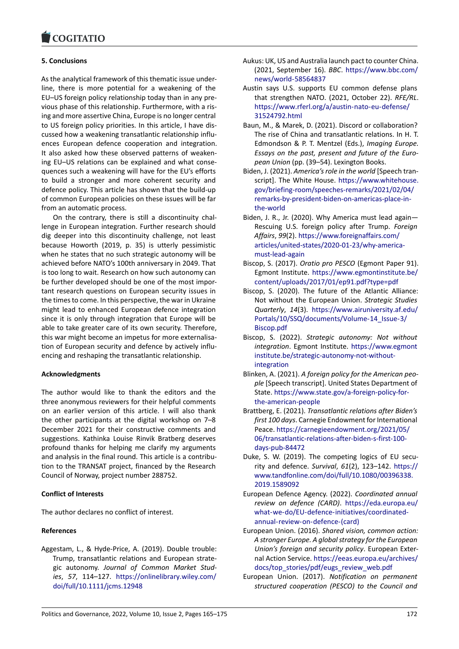#### COGHALIO

### **5. Conclusions**

[As the analytical fram](https://www.cogitatiopress.com)ework of this thematic issue under‐ line, there is more potential for a weakening of the EU–US foreign policy relationship today than in any pre‐ vious phase of this relationship. Furthermore, with a ris‐ ing and more assertive China, Europe is no longer central to US foreign policy priorities. In this article, I have dis‐ cussed how a weakening transatlantic relationship influ‐ ences European defence cooperation and integration. It also asked how these observed patterns of weaken‐ ing EU–US relations can be explained and what conse‐ quences such a weakening will have for the EU's efforts to build a stronger and more coherent security and defence policy. This article has shown that the build‐up of common European policies on these issues will be far from an automatic process.

On the contrary, there is still a discontinuity chal‐ lenge in European integration. Further research should dig deeper into this discontinuity challenge, not least because Howorth (2019, p. 35) is utterly pessimistic when he states that no such strategic autonomy will be achieved before NATO's 100th anniversary in 2049. That is too long to wait. Research on how such autonomy can be further developed should be one of the most impor‐ tant research questions on European security issues in the times to come. In this perspective, the war in Ukraine might lead to enhanced European defence integration since it is only through integration that Europe will be able to take greater care of its own security. Therefore, this war might become an impetus for more externalisa‐ tion of European security and defence by actively influ‐ encing and reshaping the transatlantic relationship.

### **Acknowledgments**

The author would like to thank the editors and the three anonymous reviewers for their helpful comments on an earlier version of this article. I will also thank the other participants at the digital workshop on 7–8 December 2021 for their constructive comments and suggestions. Kathinka Louise Rinvik Bratberg deserves profound thanks for helping me clarify my arguments and analysis in the final round. This article is a contribution to the TRANSAT project, financed by the Research Council of Norway, project number 288752.

### **Conflict of Interests**

The author declares no conflict of interest.

### **References**

Aggestam, L., & Hyde‐Price, A. (2019). Double trouble: Trump, transatlantic relations and European strate‐ gic autonomy. *Journal of Common Market Stud‐ ies*, *57*, 114–127. https://onlinelibrary.wiley.com/ doi/full/10.1111/jcms.12948

- Aukus: UK, US and Australia launch pact to counter China. (2021, September 16). *BBC*. https://www.bbc.com/ news/world‐58564837
- Austin says U.S. supports EU common defense plans that strengthen NATO. (2021, October 22). *RFE/RL*. https://www.rferl.org/a/aus[tin‐nato‐eu‐defense/](https://www.bbc.com/news/world-58564837) [31524792.html](https://www.bbc.com/news/world-58564837)
- Baun, M., & Marek, D. (2021). Discord or collaboration? The rise of China and transatlantic relations. In H. T. [Edmondson & P. T. Mentzel \(Eds.\),](https://www.rferl.org/a/austin-nato-eu-defense/31524792.html) *Imaging Europe. [Essays on the p](https://www.rferl.org/a/austin-nato-eu-defense/31524792.html)ast, present and future of the Euro‐ pean Union* (pp. (39–54). Lexington Books.
- Biden, J. (2021). *America's role in the world* [Speech tran‐ script]. The White House. https://www.whitehouse. gov/briefing‐room/speeches‐remarks/2021/02/04/ remarks‐by‐president‐biden‐on‐americas‐place‐in‐ the‐world
- Biden, J. R., Jr. (2020). Why A[merica must lead again—](https://www.whitehouse.gov/briefing-room/speeches-remarks/2021/02/04/remarks-by-president-biden-on-americas-place-in-the-world) [Rescuing U.S. foreign policy after Trump.](https://www.whitehouse.gov/briefing-room/speeches-remarks/2021/02/04/remarks-by-president-biden-on-americas-place-in-the-world) *Foreign Affairs*, *99*(2). [https://www.foreignaffairs.com/](https://www.whitehouse.gov/briefing-room/speeches-remarks/2021/02/04/remarks-by-president-biden-on-americas-place-in-the-world) [articles/un](https://www.whitehouse.gov/briefing-room/speeches-remarks/2021/02/04/remarks-by-president-biden-on-americas-place-in-the-world)ited‐states/2020‐01‐23/why‐america‐ must‐lead‐again
- Biscop, S. (2017). *Oratio pro PESCO* (Egmont Paper 91). Egmont Institute. [https://www.egmontinstitut](https://www.foreignaffairs.com/articles/united-states/2020-01-23/why-america-must-lead-again)e.be/ [content/uploads/2017/01/ep91.pdf?type=pdf](https://www.foreignaffairs.com/articles/united-states/2020-01-23/why-america-must-lead-again)
- Bis[cop, S. \(2020\). T](https://www.foreignaffairs.com/articles/united-states/2020-01-23/why-america-must-lead-again)he future of the Atlantic Alliance: Not without the European Union. *Strategic Studies Quarterly*, *14*(3). [https://www.airuniversity.af.edu/](https://www.egmontinstitute.be/content/uploads/2017/01/ep91.pdf?type=pdf) [Portals/10/SSQ/documents/Volume‐14\\_Issue‐](https://www.egmontinstitute.be/content/uploads/2017/01/ep91.pdf?type=pdf)3/ Biscop.pdf
- Biscop, S. (2022). *Strategic autonomy: Not without integration*. Egmont Institute. [https://www.egmont](https://www.airuniversity.af.edu/Portals/10/SSQ/documents/Volume-14_Issue-3/Biscop.pdf) [institute.be/strategic‐autonomy‐not‐without‐](https://www.airuniversity.af.edu/Portals/10/SSQ/documents/Volume-14_Issue-3/Biscop.pdf) [integration](https://www.airuniversity.af.edu/Portals/10/SSQ/documents/Volume-14_Issue-3/Biscop.pdf)
- Blinken, A. (2021). *A foreign policy for the American peo‐ ple* [Speech transcript]. United [States Department of](https://www.egmontinstitute.be/strategic-autonomy-not-without-integration) State. [https://www.state.gov/a‐foreign‐policy](https://www.egmontinstitute.be/strategic-autonomy-not-without-integration)‐for‐ [the‐america](https://www.egmontinstitute.be/strategic-autonomy-not-without-integration)n‐people
- Brattberg, E. (2021). *Transatlantic relations after Biden's first 100 days*. Carnegie Endowment for International Peace. [https://carnegieendowment.org/2021/05/](https://www.state.gov/a-foreign-policy-for-the-american-people) [06/transatlantic‐relat](https://www.state.gov/a-foreign-policy-for-the-american-people)ions‐after‐biden‐s‐first‐100‐ days‐pub‐84472
- Duke, S. W. (2019). The competing logics of EU security and defence. *Survival*, *61*[\(2\), 123–142.](https://carnegieendowment.org/2021/05/06/transatlantic-relations-after-biden-s-first-100-days-pub-84472) https:// [www.tandfonline.com/doi/full/10.1080/0039633](https://carnegieendowment.org/2021/05/06/transatlantic-relations-after-biden-s-first-100-days-pub-84472)8. [2019.1589092](https://carnegieendowment.org/2021/05/06/transatlantic-relations-after-biden-s-first-100-days-pub-84472)
- European Defence Agency. (2022). *Coordinated annual review on defence (CARD)*. https://eda.eur[opa.eu/](https://www.tandfonline.com/doi/full/10.1080/00396338.2019.1589092) [what‐we‐do/EU‐defence‐initiatives/coordinated‐](https://www.tandfonline.com/doi/full/10.1080/00396338.2019.1589092) [annual‐review](https://www.tandfonline.com/doi/full/10.1080/00396338.2019.1589092)‐on‐defence‐(card)
- European Union. (2016). *Shared vision, common action: A stronger Europe. A global st[rategy for the European](https://eda.europa.eu/what-we-do/EU-defence-initiatives/coordinated-annual-review-on-defence-(card)) [Union's foreign and security policy](https://eda.europa.eu/what-we-do/EU-defence-initiatives/coordinated-annual-review-on-defence-(card))*. European Exter‐ [nal Action Service.](https://eda.europa.eu/what-we-do/EU-defence-initiatives/coordinated-annual-review-on-defence-(card)) https://eeas.europa.eu/archives/ docs/top\_stories/pdf/eugs\_review\_web.pdf
- European Union. (2017). *Notification on permanent structured cooperation (PESCO) to the Council and*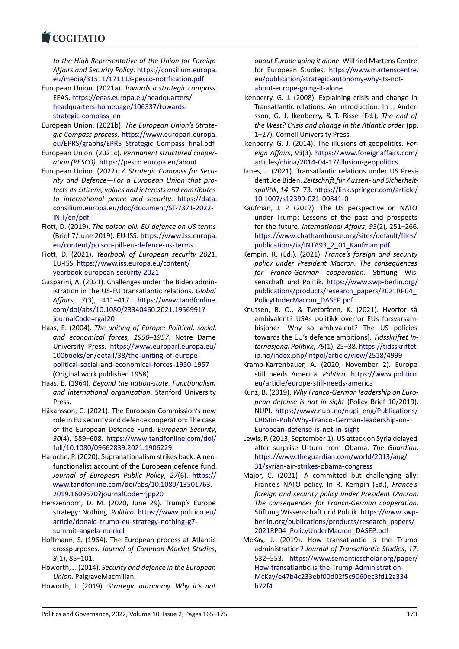#### COMITATIO

*to the High Representative of the Union for Foreign [Affairs and Secur](https://www.cogitatiopress.com)ity Policy*. https://consilium.europa. eu/media/31511/171113‐pesco‐notification.pdf

- European Union. (2021a). *Towards a strategic compass*. EEAS. https://eeas.europa.eu/headquarters/ headquarters‐homepage/[106337/towards‐](https://consilium.europa.eu/media/31511/171113-pesco-notification.pdf) [strategic‐compass\\_en](https://consilium.europa.eu/media/31511/171113-pesco-notification.pdf)
- European Union. (2021b). *The European Union's Strate‐ gic Compass process*. [https://www.europarl.](https://eeas.europa.eu/headquarters/headquarters-homepage/106337/towards-strategic-compass_en)europa. [eu/EPRS/graphs/EPRS\\_Strategic\\_Compass\\_](https://eeas.europa.eu/headquarters/headquarters-homepage/106337/towards-strategic-compass_en)final.pdf
- Eur[opean Union. \(2021c\).](https://eeas.europa.eu/headquarters/headquarters-homepage/106337/towards-strategic-compass_en) *Permanent structured cooper‐ ation (PESCO)*. https://pesco.europa.eu/about
- European Union. (2022). *[A Strategic Compass for Secu‐](https://www.europarl.europa.eu/EPRS/graphs/EPRS_Strategic_Compass_final.pdf) [rity and Defence—For a European Union that pro](https://www.europarl.europa.eu/EPRS/graphs/EPRS_Strategic_Compass_final.pdf)‐ tects its citizens, values and interests and contributes to internation[al peace and security](https://pesco.europa.eu/about)*. https://data. consilium.europa.eu/doc/document/ST‐7371‐2022‐ INIT/en/pdf
- Fiott, D. (2019). *The poison pill. EU defence on US terms* (Brief 7/June 2019). EU‐ISS. https://ww[w.iss.europa.](https://data.consilium.europa.eu/doc/document/ST-7371-2022-INIT/en/pdf) [eu/content/poison‐pill‐eu‐defence‐us‐terms](https://data.consilium.europa.eu/doc/document/ST-7371-2022-INIT/en/pdf)
- Fio[tt, D. \(2021\)](https://data.consilium.europa.eu/doc/document/ST-7371-2022-INIT/en/pdf). *Yearbook of European security 2021*. EU‐ISS. https://www.iss.europa.eu/content/ yearbook‐european‐securit[y‐2021](https://www.iss.europa.eu/content/poison-pill-eu-defence-us-terms)
- Gas[parini, A. \(2021\). Challenges under the Biden](https://www.iss.europa.eu/content/poison-pill-eu-defence-us-terms) admin‐ istration in the US‐EU transatlantic relations. *Global Affairs*, *7*(3), 411–417. [https://www.tand](https://www.iss.europa.eu/content/yearbook-european-security-2021)fonline. [com/doi/abs/10.1080/23340460.2](https://www.iss.europa.eu/content/yearbook-european-security-2021)021.1956991? journalCode=rgaf20
- Haas, E. (2004). *The uniting of Europe: Political, social, and economical forces, 1950–1957*[. Notre Dame](https://www.tandfonline.com/doi/abs/10.1080/23340460.2021.1956991?journalCode=rgaf20) University Press. [https://www.europarl.europa.](https://www.tandfonline.com/doi/abs/10.1080/23340460.2021.1956991?journalCode=rgaf20)eu/ [100books/en/detail/](https://www.tandfonline.com/doi/abs/10.1080/23340460.2021.1956991?journalCode=rgaf20)38/the‐uniting‐of‐europe‐ political‐social‐and‐economical‐forces‐1950‐1957 (Original work published 1958)
- Haas, E. (1964). *Beyo[nd the nation‐state. Functionalism](https://www.europarl.europa.eu/100books/en/detail/38/the-uniting-of-europe-political-social-and-economical-forces-1950-1957) [and international organization](https://www.europarl.europa.eu/100books/en/detail/38/the-uniting-of-europe-political-social-and-economical-forces-1950-1957)*. Stanford University [Press.](https://www.europarl.europa.eu/100books/en/detail/38/the-uniting-of-europe-political-social-and-economical-forces-1950-1957)
- Håkansson, C. (2021). The European Commission's new role in EU security and defence cooperation: The case of the European Defence Fund. *European Security*, *30*(4), 589–608. https://www.tandfonline.com/doi/ full/10.1080/09662839.2021.1906229
- Haroche, P. (2020). Supranationalism strikes back: A neo‐ functionalist account of the European defence fund. *Journal of Euro[pean Public Policy](https://www.tandfonline.com/doi/full/10.1080/09662839.2021.1906229)*, *27*(6). https:// [www.tandfonline.com/doi/abs/10.108](https://www.tandfonline.com/doi/full/10.1080/09662839.2021.1906229)0/13501763. 2019.1609570?journalCode=rjpp20
- Herszenhorn, D. M. (2020, June 29). Trump's Europe strategy: Nothing. *Politico*. https://www.poli[tico.eu/](https://www.tandfonline.com/doi/abs/10.1080/13501763.2019.1609570?journalCode=rjpp20) [article/donald‐trump‐eu‐strategy‐nothing‐g7‐](https://www.tandfonline.com/doi/abs/10.1080/13501763.2019.1609570?journalCode=rjpp20) [summit‐angela‐merkel](https://www.tandfonline.com/doi/abs/10.1080/13501763.2019.1609570?journalCode=rjpp20)
- Hoffmann, S. (1964). The European process at Atlantic crosspurposes. *Journal of [Common Market Studies](https://www.politico.eu/article/donald-trump-eu-strategy-nothing-g7-summit-angela-merkel)*, *3*[\(1\), 85–101.](https://www.politico.eu/article/donald-trump-eu-strategy-nothing-g7-summit-angela-merkel)
- Ho[worth, J. \(2014\).](https://www.politico.eu/article/donald-trump-eu-strategy-nothing-g7-summit-angela-merkel) *Security and defence in the European Union*. PalgraveMacmillan.
- Howorth, J. (2019). *Strategic autonomy. Why it's not*

*about Europe going it alone*. Wilfried Martens Centre for European Studies. https://www.martenscentre. eu/publication/strategic‐autonomy‐why‐its‐not‐ about‐europe‐going‐it‐alone

- Ikenberry, G. J. (2008). Explaining crisis and change in Transatlantic relations: [An introduction. In J. Ander‐](https://www.martenscentre.eu/publication/strategic-autonomy-why-its-not-about-europe-going-it-alone) [sson, G. J. Ikenberry, & T. Risse \(Ed.\),](https://www.martenscentre.eu/publication/strategic-autonomy-why-its-not-about-europe-going-it-alone) *The end of [the West? Crisis and change i](https://www.martenscentre.eu/publication/strategic-autonomy-why-its-not-about-europe-going-it-alone)n the Atlantic order* (pp. 1–27). Cornell University Press.
- Ikenberry, G. J. (2014). The illusions of geopolitics. *For‐ eign Affairs*, *93*(3). https://www.foreignaffairs.com/ articles/china/2014‐04‐17/illusion‐geopolitics
- Janes, J. (2021). Transatlantic relations under US Presi‐ dent Joe Biden. *Zeitschrift für Aussen‐ und Sicherheit‐ spolitik*, *14*, 57–73. [https://link.springer.com/article/](https://www.foreignaffairs.com/articles/china/2014-04-17/illusion-geopolitics) [10.1007/s12399‐021‐00841‐0](https://www.foreignaffairs.com/articles/china/2014-04-17/illusion-geopolitics)
- Kaufman, J. P. (2017). The US perspective on NATO under Trump: Lessons of the past and prospects for the future. *Inte[rnational Affairs](https://link.springer.com/article/10.1007/s12399-021-00841-0)*, *93*(2), 251–266. [https://www.chathamhouse.o](https://link.springer.com/article/10.1007/s12399-021-00841-0)rg/sites/default/files/ publications/ia/INTA93\_2\_01\_Kaufman.pdf
- Kempin, R. (Ed.). (2021). *France's foreign and security policy under President Macron. The consequences [for Franco‐German cooperation](https://www.chathamhouse.org/sites/default/files/publications/ia/INTA93_2_01_Kaufman.pdf)*. Stiftung Wis‐ [senschaft und Politik.](https://www.chathamhouse.org/sites/default/files/publications/ia/INTA93_2_01_Kaufman.pdf) https://www.swp‐berlin.org/ publications/products/research\_papers/2021RP04\_ PolicyUnderMacron\_DASEP.pdf
- Knutsen, B. O., & Tvetbråten, K. (2021). Hvorfor så ambivalent? USAs poli[tikk overfor EUs forsvarsam‐](https://www.swp-berlin.org/publications/products/research_papers/2021RP04_PolicyUnderMacron_DASEP.pdf) [bisjoner \[Why so ambivalent? The US policies](https://www.swp-berlin.org/publications/products/research_papers/2021RP04_PolicyUnderMacron_DASEP.pdf) [towards the EU's defence ambit](https://www.swp-berlin.org/publications/products/research_papers/2021RP04_PolicyUnderMacron_DASEP.pdf)ions]. *Tidsskriftet In‐ ternasjonal Politikk*, *79*(1), 25–38. https://tidsskriftet‐ ip.no/index.php/intpol/article/view/2518/4999
- Kramp‐Karrenbauer, A. (2020, November 2). Europe still needs America. *Politico*. https://www.politico. eu/article/europe‐still‐needs‐am[erica](https://tidsskriftet-ip.no/index.php/intpol/article/view/2518/4999)
- Kunz, B. (2019). *[Why Franco‐German leadership on E](https://tidsskriftet-ip.no/index.php/intpol/article/view/2518/4999)uro‐ pean defense is not in sight* (Policy Brief 10/2019). NUPI. https://www.nupi.no/n[upi\\_eng/Publications/](https://www.politico.eu/article/europe-still-needs-america) [CRIStin‐Pub/Why‐Franco‐German‐lead](https://www.politico.eu/article/europe-still-needs-america)ership‐on‐ European‐defense‐is‐not‐in‐sight
- Lewis, P. (2013, September 1). US attack on Syria delayed after [surprise U‐turn from Obama.](https://www.nupi.no/nupi_eng/Publications/CRIStin-Pub/Why-Franco-German-leadership-on-European-defense-is-not-in-sight) *The Guardian*. [https://www.theguardian.com/world/2013/aug/](https://www.nupi.no/nupi_eng/Publications/CRIStin-Pub/Why-Franco-German-leadership-on-European-defense-is-not-in-sight) [31/syrian‐air‐strikes‐obama‐cong](https://www.nupi.no/nupi_eng/Publications/CRIStin-Pub/Why-Franco-German-leadership-on-European-defense-is-not-in-sight)ress
- Major, C. (2021). A committed but challenging ally: France's NATO policy. In R. Kempin (Ed.), *France's [foreign and security policy under President Macr](https://www.theguardian.com/world/2013/aug/31/syrian-air-strikes-obama-congress)on. [The consequences for Franco‐German](https://www.theguardian.com/world/2013/aug/31/syrian-air-strikes-obama-congress) cooperation.* Stiftung Wissenschaft und Politik. https://www.swp‐ berlin.org/publications/products/research\_papers/ 2021RP04\_PolicyUnderMacron\_DASEP.pdf
- McKay, J. (2019). How transatlantic is the Trump administration? *Journal of Transa[tlantic Studies](https://www.swp-berlin.org/publications/products/research_papers/2021RP04_PolicyUnderMacron_DASEP.pdf)*, *17*, 532–553. [https://www.semanticscholar.org/paper](https://www.swp-berlin.org/publications/products/research_papers/2021RP04_PolicyUnderMacron_DASEP.pdf)/ How-transatlantic-is-the-Trump-Administration-McKay/e47b4c233ebf00d02f5c9060ec3fd12a334 b72f4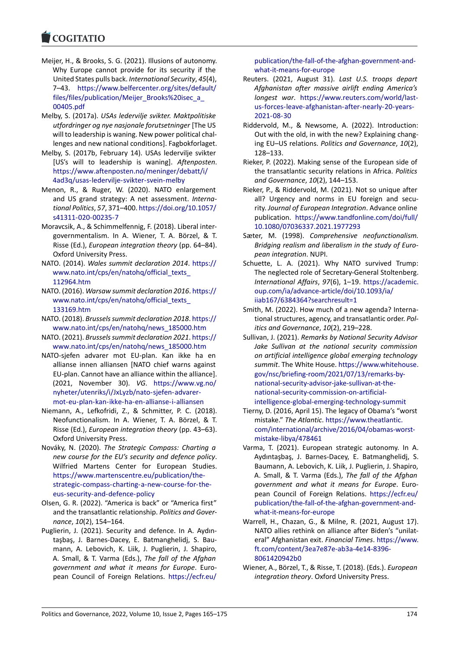- Meijer, H., & Brooks, S. G. (2021). Illusions of autonomy. [Why Europe can](https://www.cogitatiopress.com)not provide for its security if the United States pulls back. *International Security*, *45*(4), 7–43. https://www.belfercenter.org/sites/default/ files/files/publication/Meijer\_Brooks%20isec\_a\_ 00405.pdf
- Melby, S. (2017a). *USAs ledervilje svikter. Maktpolitiske utfordri[nger og nye nasjonale forutsetninger](https://www.belfercenter.org/sites/default/files/files/publication/Meijer_Brooks%20isec_a_00405.pdf)* [The US [will to leadership is waning. New power political c](https://www.belfercenter.org/sites/default/files/files/publication/Meijer_Brooks%20isec_a_00405.pdf)hal[lenges and](https://www.belfercenter.org/sites/default/files/files/publication/Meijer_Brooks%20isec_a_00405.pdf) new national conditions]. Fagbokforlaget.
- Melby, S. (2017b, February 14). USAs ledervilje svikter [US's will to leadership is waning]. *Aftenposten*. https://www.aftenposten.no/meninger/debatt/i/ 4ad3q/usas‐ledervilje‐svikter‐svein‐melby
- Menon, R., & Ruger, W. (2020). NATO enlargement and US grand strategy: A net assessment. *Interna‐ tional Politics*, *57*, 371–400. [https://doi.org/10.105](https://www.aftenposten.no/meninger/debatt/i/4ad3q/usas-ledervilje-svikter-svein-melby)7/ [s41311‐020‐00235‐7](https://www.aftenposten.no/meninger/debatt/i/4ad3q/usas-ledervilje-svikter-svein-melby)
- Moravcsik, A., & Schimmelfennig, F. (2018). Liberal inter‐ governmentalism. In A. Wiener, T. A. Börzel, & T. Risse (Ed.), *European integ[ration theory](https://doi.org/10.1057/s41311-020-00235-7)* (pp. 64–84). [Oxford University Pre](https://doi.org/10.1057/s41311-020-00235-7)ss.
- NATO. (2014). *Wales summit declaration 2014*. https:// www.nato.int/cps/en/natohq/official\_texts\_ 112964.htm
- NATO. (2016). *Warsaw summit declaration 2016*. https:// www.nato.int/cps/en/natohq/official\_texts\_ [133169.htm](https://www.nato.int/cps/en/natohq/official_texts_112964.htm)
- NA[TO. \(2018\).](https://www.nato.int/cps/en/natohq/official_texts_112964.htm) *Brussels summit declaration 2018*. https:// www.nato.int/cps/en/natohq/news\_185000[.htm](https://www.nato.int/cps/en/natohq/official_texts_133169.htm)
- NATO. (2021). *[Brussels summit declaration 2021](https://www.nato.int/cps/en/natohq/official_texts_133169.htm)*. https:// [www.nato.in](https://www.nato.int/cps/en/natohq/official_texts_133169.htm)t/cps/en/natohq/news\_185000.htm
- NATO‐sjefen advarer mot EU‐plan. Kan ikke [ha en](https://www.nato.int/cps/en/natohq/news_185000.htm) [allianse innen alliansen \[NATO chief warns again](https://www.nato.int/cps/en/natohq/news_185000.htm)st EU‐plan. Cannot have an alliance within the [alliance\].](https://www.nato.int/cps/en/natohq/news_185000.htm) [\(2021, November 30\).](https://www.nato.int/cps/en/natohq/news_185000.htm) *VG*. https://www.vg.no/ nyheter/utenriks/i/JxLyzb/nato‐sjefen‐advarer‐ mot‐eu‐plan‐kan‐ikke‐ha‐en‐allianse‐i‐alliansen
- Niemann, A., Lefkofridi, Z., & Schmitter, P. C. (2018). Neofunctionalism. In A. Wiene[r, T. A. Börzel, & T.](https://www.vg.no/nyheter/utenriks/i/JxLyzb/nato-sjefen-advarer-mot-eu-plan-kan-ikke-ha-en-allianse-i-alliansen) Risse (Ed.), *[European integration theory](https://www.vg.no/nyheter/utenriks/i/JxLyzb/nato-sjefen-advarer-mot-eu-plan-kan-ikke-ha-en-allianse-i-alliansen)* (pp. 43–63). [Oxford University Press.](https://www.vg.no/nyheter/utenriks/i/JxLyzb/nato-sjefen-advarer-mot-eu-plan-kan-ikke-ha-en-allianse-i-alliansen)
- Nováky, N. (2020). *The Strategic Compass: Charting a new course for the EU's security and defence policy*. Wilfried Martens Center for European Studies. https://www.martenscentre.eu/publication/the‐ strategic‐compass‐charting‐a‐new‐course‐for‐the‐ eus‐security‐and‐defence‐policy
- Olsen, G. R. (2022). "America is back" or "America first" [and the transatlantic relationship.](https://www.martenscentre.eu/publication/the-strategic-compass-charting-a-new-course-for-the-eus-security-and-defence-policy) *Politics and Gover‐ nance*, *10*[\(2\), 154–164.](https://www.martenscentre.eu/publication/the-strategic-compass-charting-a-new-course-for-the-eus-security-and-defence-policy)
- Pug[lierin, J. \(2021\). Security and de](https://www.martenscentre.eu/publication/the-strategic-compass-charting-a-new-course-for-the-eus-security-and-defence-policy)fence. In A. Aydın‐ taşbaş, J. Barnes‐Dacey, E. Batmanghelidj, S. Bau‐ mann, A. Lebovich, K. Liik, J. Puglierin, J. Shapiro, A. Small, & T. Varma (Eds.), *The fall of the Afghan government and what it means for Europe*. Euro‐ pean Council of Foreign Relations. https://ecfr.eu/

publication/the‐fall‐of‐the‐afghan‐government‐and‐ what‐it‐means‐for‐europe

- Reuters. (2021, August 31). *Last U.S. troops depart Afghanistan after massive airlift ending America's longest war*. [https://www.reuters.com/world/last](https://ecfr.eu/publication/the-fall-of-the-afghan-government-and-what-it-means-for-europe)‐ [us‐forces‐leave‐afghanista](https://ecfr.eu/publication/the-fall-of-the-afghan-government-and-what-it-means-for-europe)n‐after‐nearly‐20‐years‐ 2021‐08‐30
- Riddervold, M., & Newsome, A. (2022). Introduction: Out with the [old, in with the new? Explaining chang‐](https://www.reuters.com/world/last-us-forces-leave-afghanistan-after-nearly-20-years-2021-08-30) ing EU–US relations. *[Politics and Governance](https://www.reuters.com/world/last-us-forces-leave-afghanistan-after-nearly-20-years-2021-08-30)*, *10*(2), [128–133.](https://www.reuters.com/world/last-us-forces-leave-afghanistan-after-nearly-20-years-2021-08-30)
- Rieker, P. (2022). Making sense of the European side of the transatlantic security relations in Africa. *Politics and Governance*, *10*(2), 144–153.
- Rieker, P., & Riddervold, M. (2021). Not so unique after all? Urgency and norms in EU foreign and security. *Journal of European Integration*. Advance online publication. https://www.tandfonline.com/doi/full/ 10.1080/07036337.2021.1977293
- Sæter, M. (1998). *Comprehensive neofunctionalism. Bridging realism and liberalism in the study of Euro‐ pean integration*[. NUPI.](https://www.tandfonline.com/doi/full/10.1080/07036337.2021.1977293)
- Sch[uette, L. A. \(2021\). Why NATO](https://www.tandfonline.com/doi/full/10.1080/07036337.2021.1977293) survived Trump: The neglected role of Secretary‐General Stoltenberg. *International Affairs*, *97*(6), 1–19. https://academic. oup.com/ia/advance‐article/doi/10.1093/ia/ iiab167/6384364?searchresult=1
- Smith, M. (2022). How much of a new agenda? Interna‐ tional structures, agency, and trans[atlantic order.](https://academic.oup.com/ia/advance-article/doi/10.1093/ia/iiab167/6384364?searchresult=1) *Pol‐ [itics and Governance](https://academic.oup.com/ia/advance-article/doi/10.1093/ia/iiab167/6384364?searchresult=1)*, *10*(2), 219–228.
- Sullivan, J. (2021). *[Remarks by Nation](https://academic.oup.com/ia/advance-article/doi/10.1093/ia/iiab167/6384364?searchresult=1)al Security Advisor Jake Sullivan at the national security commission on artificial intelligence global emerging technology summit*. The White House. https://www.whitehouse. gov/nsc/briefing‐room/2021/07/13/remarks‐by‐ national‐security‐advisor‐jake‐sullivan‐at‐the‐ national‐security‐commission‐on‐artificial‐ intelligence‐global‐emergi[ng‐technology‐summit](https://www.whitehouse.gov/nsc/briefing-room/2021/07/13/remarks-by-national-security-advisor-jake-sullivan-at-the-national-security-commission-on-artificial-intelligence-global-emerging-technology-summit)
- Tie[rny, D. \(2016, April 15\). The legacy of Obama's "wo](https://www.whitehouse.gov/nsc/briefing-room/2021/07/13/remarks-by-national-security-advisor-jake-sullivan-at-the-national-security-commission-on-artificial-intelligence-global-emerging-technology-summit)rst mistake." *The Atlantic*. [https://www.theatlant](https://www.whitehouse.gov/nsc/briefing-room/2021/07/13/remarks-by-national-security-advisor-jake-sullivan-at-the-national-security-commission-on-artificial-intelligence-global-emerging-technology-summit)ic. [com/international/archive/2016/04/obama](https://www.whitehouse.gov/nsc/briefing-room/2021/07/13/remarks-by-national-security-advisor-jake-sullivan-at-the-national-security-commission-on-artificial-intelligence-global-emerging-technology-summit)s‐worst‐ [mistake‐libya/478461](https://www.whitehouse.gov/nsc/briefing-room/2021/07/13/remarks-by-national-security-advisor-jake-sullivan-at-the-national-security-commission-on-artificial-intelligence-global-emerging-technology-summit)
- Varma, T. (2021). European strategic autonomy. In A. Aydıntaşbaş, J. Barne[s‐Dacey, E. Batmanghelid](https://www.theatlantic.com/international/archive/2016/04/obamas-worst-mistake-libya/478461)j, S. [Baumann, A. Lebovich, K. Liik, J. Puglierin, J. Shapiro](https://www.theatlantic.com/international/archive/2016/04/obamas-worst-mistake-libya/478461), [A. Small, & T. Varma](https://www.theatlantic.com/international/archive/2016/04/obamas-worst-mistake-libya/478461) (Eds.), *The fall of the Afghan government and what it means for Europe*. Euro‐ pean Council of Foreign Relations. https://ecfr.eu/ publication/the‐fall‐of‐the‐afghan‐government‐and‐ what‐it‐means‐for‐europe
- Warrell, H., Chazan, G., & Milne, R. (2021, August 17). NATO allies rethink on alliance after [Biden's "unilat‐](https://ecfr.eu/publication/the-fall-of-the-afghan-government-and-what-it-means-for-europe) [eral" Afghanistan exit.](https://ecfr.eu/publication/the-fall-of-the-afghan-government-and-what-it-means-for-europe) *Financial Times*. https://www. [ft.com/content/3ea7e87e](https://ecfr.eu/publication/the-fall-of-the-afghan-government-and-what-it-means-for-europe)‐ab3a‐4e14‐8396‐ 8061420942b0
- Wiener, A., Börzel, T., & Risse, T. (2018). (Eds.). *European integration theory*. Oxford University P[ress.](https://www.ft.com/content/3ea7e87e-ab3a-4e14-8396-8061420942b0)